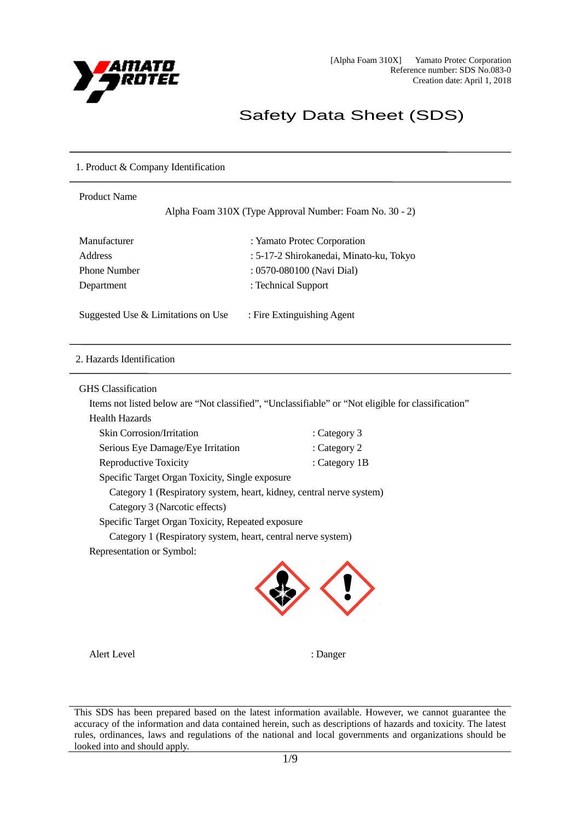

# Safety Data Sheet (SDS)

### 1. Product & Company Identification

| <b>Product Name</b><br>Alpha Foam 310X (Type Approval Number: Foam No. 30 - 2) |                                         |  |
|--------------------------------------------------------------------------------|-----------------------------------------|--|
| Manufacturer                                                                   | : Yamato Protec Corporation             |  |
| <b>Address</b>                                                                 | : 5-17-2 Shirokanedai, Minato-ku, Tokyo |  |
| <b>Phone Number</b>                                                            | : 0570-080100 (Navi Dial)               |  |
| Department                                                                     | : Technical Support                     |  |
| Suggested Use & Limitations on Use                                             | : Fire Extinguishing Agent              |  |
| 2. Hazards Identification                                                      |                                         |  |
|                                                                                |                                         |  |

## GHS Classification

 $\overline{a}$ 

Items not listed below are "Not classified", "Unclassifiable" or "Not eligible for classification"

| <b>Skin Corrosion/Irritation</b>                                     | : Category 3  |
|----------------------------------------------------------------------|---------------|
| Serious Eye Damage/Eye Irritation                                    | : Category 2  |
| Reproductive Toxicity                                                | : Category 1B |
| Specific Target Organ Toxicity, Single exposure                      |               |
| Category 1 (Respiratory system, heart, kidney, central nerve system) |               |
| Category 3 (Narcotic effects)                                        |               |
| Specific Target Organ Toxicity, Repeated exposure                    |               |
| Category 1 (Respiratory system, heart, central nerve system)         |               |

Representation or Symbol:



Alert Level : Danger

This SDS has been prepared based on the latest information available. However, we cannot guarantee the accuracy of the information and data contained herein, such as descriptions of hazards and toxicity. The latest rules, ordinances, laws and regulations of the national and local governments and organizations should be looked into and should apply.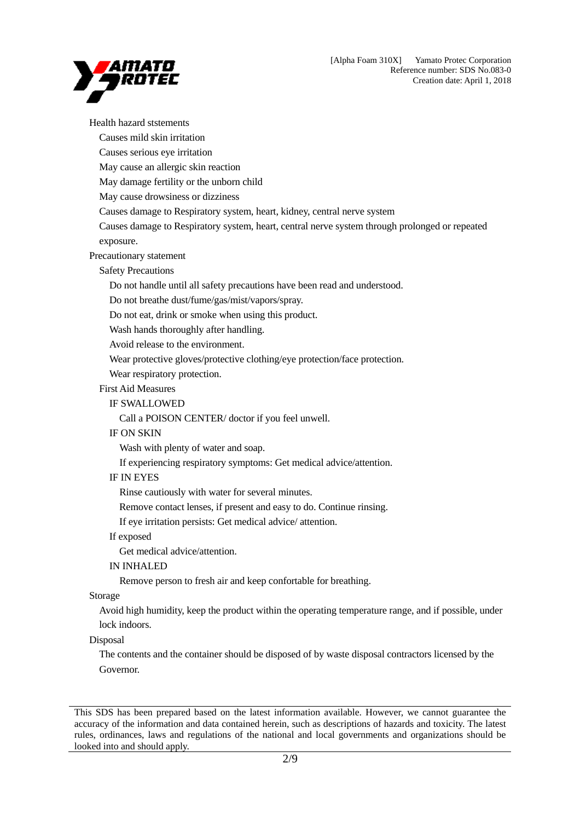

Health hazard ststements Causes mild skin irritation Causes serious eye irritation May cause an allergic skin reaction May damage fertility or the unborn child May cause drowsiness or dizziness Causes damage to Respiratory system, heart, kidney, central nerve system Causes damage to Respiratory system, heart, central nerve system through prolonged or repeated exposure. Precautionary statement Safety Precautions Do not handle until all safety precautions have been read and understood. Do not breathe dust/fume/gas/mist/vapors/spray. Do not eat, drink or smoke when using this product. Wash hands thoroughly after handling. Avoid release to the environment. Wear protective gloves/protective clothing/eye protection/face protection. Wear respiratory protection. First Aid Measures IF SWALLOWED Call a POISON CENTER/ doctor if you feel unwell. IF ON SKIN Wash with plenty of water and soap. If experiencing respiratory symptoms: Get medical advice/attention. IF IN EYES Rinse cautiously with water for several minutes. Remove contact lenses, if present and easy to do. Continue rinsing. If eye irritation persists: Get medical advice/ attention. If exposed Get medical advice/attention. IN INHALED Remove person to fresh air and keep confortable for breathing. Storage Avoid high humidity, keep the product within the operating temperature range, and if possible, under lock indoors. Disposal The contents and the container should be disposed of by waste disposal contractors licensed by the Governor.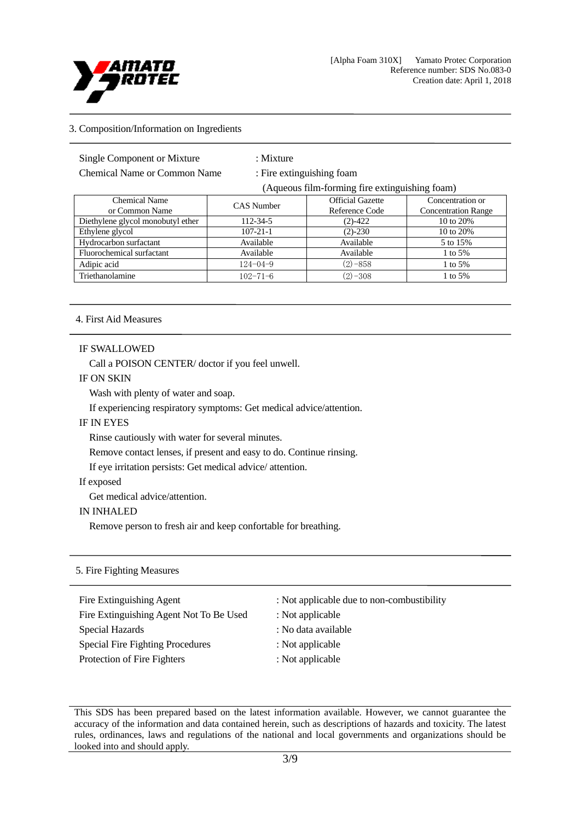

## 3. Composition/Information on Ingredients

Chemical Name or Common Name : Fire extinguishing foam

: Mixture

(Aqueous film-forming fire extinguishing foam)

| <b>Chemical Name</b><br>or Common Name | <b>CAS</b> Number | <b>Official Gazette</b><br>Reference Code | Concentration or<br><b>Concentration Range</b> |
|----------------------------------------|-------------------|-------------------------------------------|------------------------------------------------|
| Diethylene glycol monobutyl ether      | 112-34-5          | $(2)-422$                                 | 10 to 20%                                      |
| Ethylene glycol                        | $107 - 21 - 1$    | $(2) - 230$                               | 10 to 20%                                      |
| Hydrocarbon surfactant                 | Available         | Available                                 | 5 to 15%                                       |
| Fluorochemical surfactant              | Available         | Available                                 | 1 to $5%$                                      |
| Adipic acid                            | $124 - 04 - 9$    | $(2) - 858$                               | 1 to $5%$                                      |
| Triethanolamine                        | $102 - 71 - 6$    | $(2) - 308$                               | 1 to $5%$                                      |

#### 4. First Aid Measures

#### IF SWALLOWED

Call a POISON CENTER/ doctor if you feel unwell.

#### IF ON SKIN

Wash with plenty of water and soap.

If experiencing respiratory symptoms: Get medical advice/attention.

## IF IN EYES

Rinse cautiously with water for several minutes.

Remove contact lenses, if present and easy to do. Continue rinsing.

If eye irritation persists: Get medical advice/ attention.

### If exposed

Get medical advice/attention.

#### IN INHALED

Remove person to fresh air and keep confortable for breathing.

#### 5. Fire Fighting Measures

- Fire Extinguishing Agent : Not applicable due to non-combustibility Fire Extinguishing Agent Not To Be Used : Not applicable Special Hazards : No data available Special Fire Fighting Procedures : Not applicable Protection of Fire Fighters : Not applicable
	-
	-
	-
	-
	-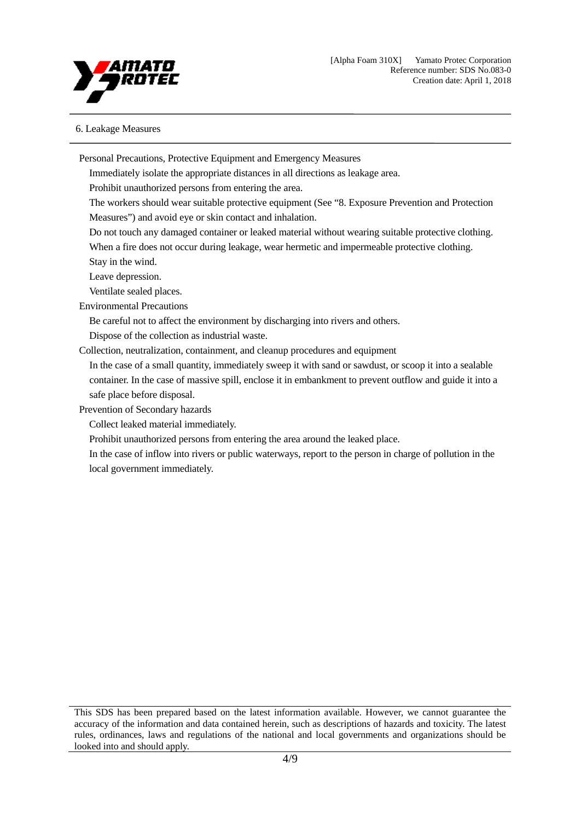

## 6. Leakage Measures

Personal Precautions, Protective Equipment and Emergency Measures

Immediately isolate the appropriate distances in all directions as leakage area.

Prohibit unauthorized persons from entering the area.

The workers should wear suitable protective equipment (See "8. Exposure Prevention and Protection Measures") and avoid eye or skin contact and inhalation.

Do not touch any damaged container or leaked material without wearing suitable protective clothing.

When a fire does not occur during leakage, wear hermetic and impermeable protective clothing.

Stay in the wind.

Leave depression.

Ventilate sealed places.

Environmental Precautions

Be careful not to affect the environment by discharging into rivers and others.

Dispose of the collection as industrial waste.

Collection, neutralization, containment, and cleanup procedures and equipment

In the case of a small quantity, immediately sweep it with sand or sawdust, or scoop it into a sealable container. In the case of massive spill, enclose it in embankment to prevent outflow and guide it into a safe place before disposal.

Prevention of Secondary hazards

Collect leaked material immediately.

Prohibit unauthorized persons from entering the area around the leaked place.

In the case of inflow into rivers or public waterways, report to the person in charge of pollution in the local government immediately.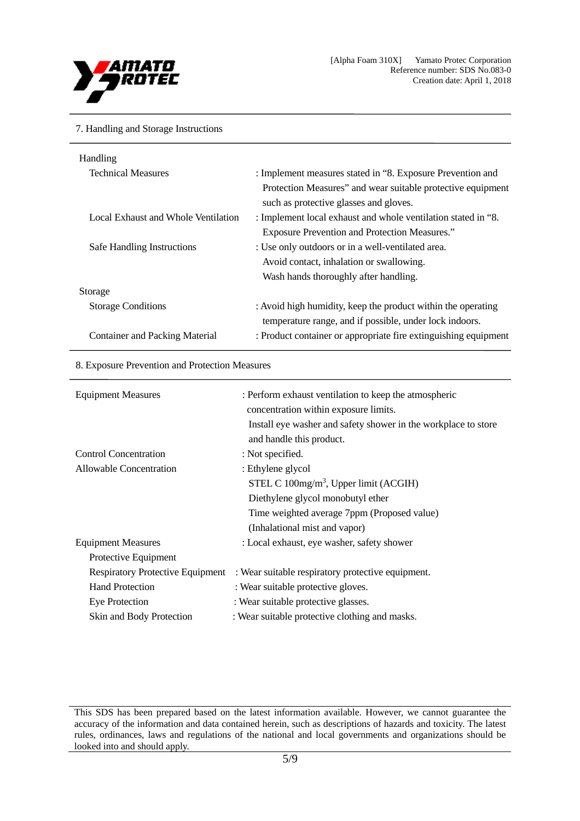

#### 7. Handling and Storage Instructions

| Handling                              |                                                                 |
|---------------------------------------|-----------------------------------------------------------------|
| <b>Technical Measures</b>             | : Implement measures stated in "8. Exposure Prevention and      |
|                                       | Protection Measures" and wear suitable protective equipment     |
|                                       | such as protective glasses and gloves.                          |
| Local Exhaust and Whole Ventilation   | : Implement local exhaust and whole ventilation stated in "8.   |
|                                       | <b>Exposure Prevention and Protection Measures."</b>            |
| Safe Handling Instructions            | : Use only outdoors or in a well-ventilated area.               |
|                                       | Avoid contact, inhalation or swallowing.                        |
|                                       | Wash hands thoroughly after handling.                           |
| Storage                               |                                                                 |
| <b>Storage Conditions</b>             | : Avoid high humidity, keep the product within the operating    |
|                                       | temperature range, and if possible, under lock indoors.         |
| <b>Container and Packing Material</b> | : Product container or appropriate fire extinguishing equipment |
|                                       |                                                                 |

## 8. Exposure Prevention and Protection Measures

| <b>Equipment Measures</b>               | : Perform exhaust ventilation to keep the atmospheric<br>concentration within exposure limits.<br>Install eye washer and safety shower in the workplace to store |
|-----------------------------------------|------------------------------------------------------------------------------------------------------------------------------------------------------------------|
|                                         | and handle this product.                                                                                                                                         |
| <b>Control Concentration</b>            | : Not specified.                                                                                                                                                 |
| Allowable Concentration                 | : Ethylene glycol                                                                                                                                                |
|                                         | STEL C $100$ mg/m <sup>3</sup> , Upper limit (ACGIH)                                                                                                             |
|                                         | Diethylene glycol monobutyl ether                                                                                                                                |
|                                         | Time weighted average 7ppm (Proposed value)                                                                                                                      |
|                                         | (Inhalational mist and vapor)                                                                                                                                    |
| <b>Equipment Measures</b>               | : Local exhaust, eye washer, safety shower                                                                                                                       |
| Protective Equipment                    |                                                                                                                                                                  |
| <b>Respiratory Protective Equipment</b> | : Wear suitable respiratory protective equipment.                                                                                                                |
| <b>Hand Protection</b>                  | : Wear suitable protective gloves.                                                                                                                               |
| <b>Eye Protection</b>                   | : Wear suitable protective glasses.                                                                                                                              |
| Skin and Body Protection                | : Wear suitable protective clothing and masks.                                                                                                                   |

This SDS has been prepared based on the latest information available. However, we cannot guarantee the accuracy of the information and data contained herein, such as descriptions of hazards and toxicity. The latest rules, ordinances, laws and regulations of the national and local governments and organizations should be looked into and should apply.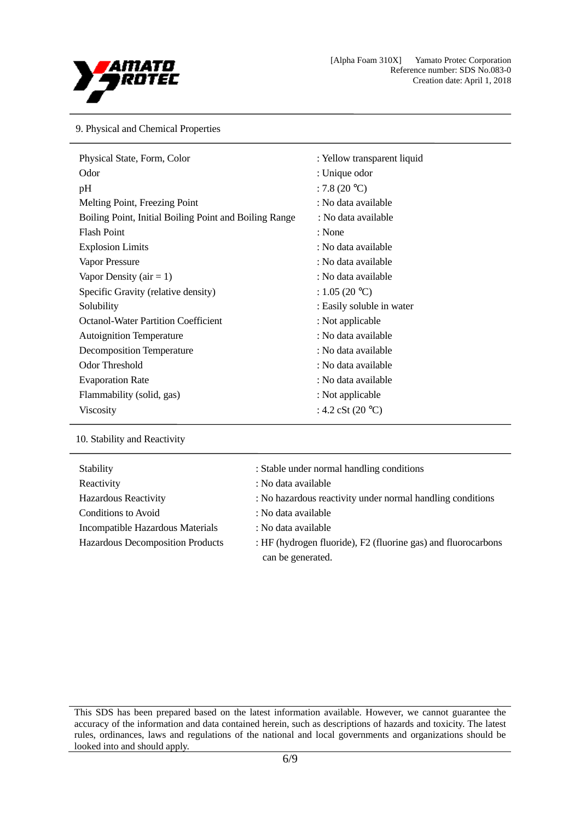

9. Physical and Chemical Properties

| Physical State, Form, Color                            | : Yellow transparent liquid |
|--------------------------------------------------------|-----------------------------|
| Odor                                                   | : Unique odor               |
| pH                                                     | : 7.8 $(20 °C)$             |
| Melting Point, Freezing Point                          | : No data available         |
| Boiling Point, Initial Boiling Point and Boiling Range | : No data available         |
| <b>Flash Point</b>                                     | : None                      |
| <b>Explosion Limits</b>                                | : No data available         |
| Vapor Pressure                                         | : No data available         |
| Vapor Density ( $air = 1$ )                            | : No data available         |
| Specific Gravity (relative density)                    | : 1.05 (20 °C)              |
| Solubility                                             | : Easily soluble in water   |
| <b>Octanol-Water Partition Coefficient</b>             | : Not applicable            |
| <b>Autoignition Temperature</b>                        | : No data available         |
| Decomposition Temperature                              | : No data available         |
| Odor Threshold                                         | : No data available         |
| <b>Evaporation Rate</b>                                | : No data available         |
| Flammability (solid, gas)                              | : Not applicable            |
| <b>Viscosity</b>                                       | : 4.2 cSt $(20 °C)$         |

10. Stability and Reactivity

| Stability                        | : Stable under normal handling conditions                                          |
|----------------------------------|------------------------------------------------------------------------------------|
| Reactivity                       | : No data available                                                                |
| <b>Hazardous Reactivity</b>      | : No hazardous reactivity under normal handling conditions                         |
| Conditions to Avoid              | : No data available                                                                |
| Incompatible Hazardous Materials | : No data available                                                                |
| Hazardous Decomposition Products | : HF (hydrogen fluoride), F2 (fluorine gas) and fluorocarbons<br>can be generated. |
|                                  |                                                                                    |

This SDS has been prepared based on the latest information available. However, we cannot guarantee the accuracy of the information and data contained herein, such as descriptions of hazards and toxicity. The latest rules, ordinances, laws and regulations of the national and local governments and organizations should be looked into and should apply.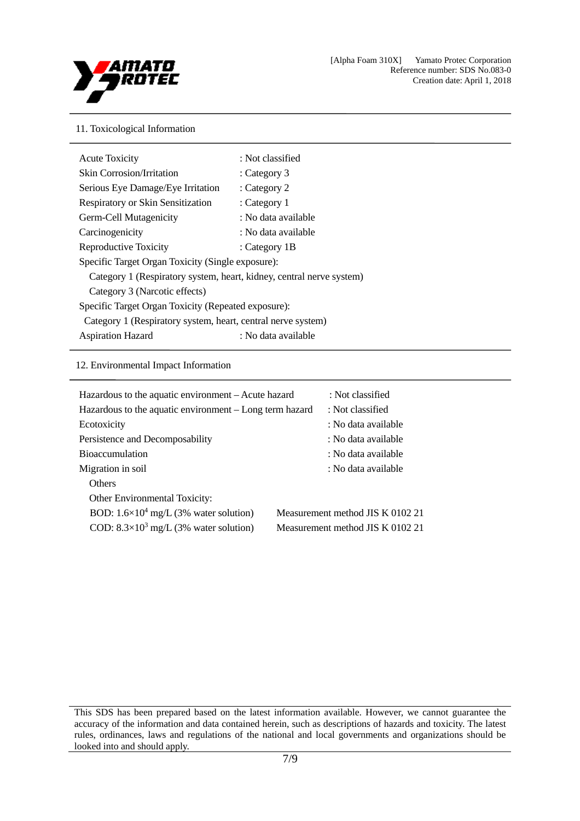

## 11. Toxicological Information

| <b>Acute Toxicity</b>                                                | : Not classified    |  |
|----------------------------------------------------------------------|---------------------|--|
| <b>Skin Corrosion/Irritation</b>                                     | : Category $3$      |  |
| Serious Eye Damage/Eye Irritation                                    | : Category 2        |  |
| <b>Respiratory or Skin Sensitization</b>                             | : Category 1        |  |
| Germ-Cell Mutagenicity                                               | : No data available |  |
| Carcinogenicity                                                      | : No data available |  |
| Reproductive Toxicity                                                | : Category 1B       |  |
| Specific Target Organ Toxicity (Single exposure):                    |                     |  |
| Category 1 (Respiratory system, heart, kidney, central nerve system) |                     |  |
| Category 3 (Narcotic effects)                                        |                     |  |
| Specific Target Organ Toxicity (Repeated exposure):                  |                     |  |
| Category 1 (Respiratory system, heart, central nerve system)         |                     |  |
| <b>Aspiration Hazard</b>                                             | : No data available |  |

## 12. Environmental Impact Information

| Hazardous to the aquatic environment – Acute hazard     | : Not classified                 |
|---------------------------------------------------------|----------------------------------|
| Hazardous to the aquatic environment – Long term hazard | : Not classified                 |
| Ecotoxicity                                             | : No data available              |
| Persistence and Decomposability                         | : No data available              |
| <b>Bioaccumulation</b>                                  | : No data available              |
| Migration in soil                                       | : No data available              |
| <b>Others</b>                                           |                                  |
| Other Environmental Toxicity:                           |                                  |
| BOD: $1.6 \times 10^4$ mg/L (3% water solution)         | Measurement method JIS K 0102 21 |
| COD: $8.3 \times 10^3$ mg/L (3% water solution)         | Measurement method JIS K 0102 21 |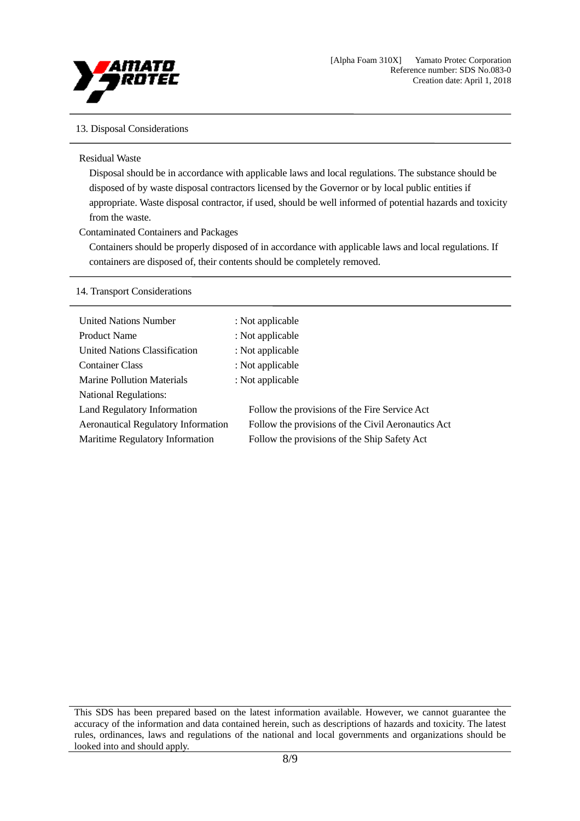

## 13. Disposal Considerations

#### Residual Waste

Disposal should be in accordance with applicable laws and local regulations. The substance should be disposed of by waste disposal contractors licensed by the Governor or by local public entities if appropriate. Waste disposal contractor, if used, should be well informed of potential hazards and toxicity from the waste.

## Contaminated Containers and Packages

Containers should be properly disposed of in accordance with applicable laws and local regulations. If containers are disposed of, their contents should be completely removed.

## 14. Transport Considerations

| <b>United Nations Number</b>               | : Not applicable                                   |
|--------------------------------------------|----------------------------------------------------|
| <b>Product Name</b>                        | : Not applicable                                   |
| United Nations Classification              | : Not applicable                                   |
| <b>Container Class</b>                     | : Not applicable                                   |
| <b>Marine Pollution Materials</b>          | : Not applicable                                   |
| <b>National Regulations:</b>               |                                                    |
| Land Regulatory Information                | Follow the provisions of the Fire Service Act      |
| <b>Aeronautical Regulatory Information</b> | Follow the provisions of the Civil Aeronautics Act |
| Maritime Regulatory Information            | Follow the provisions of the Ship Safety Act       |
|                                            |                                                    |